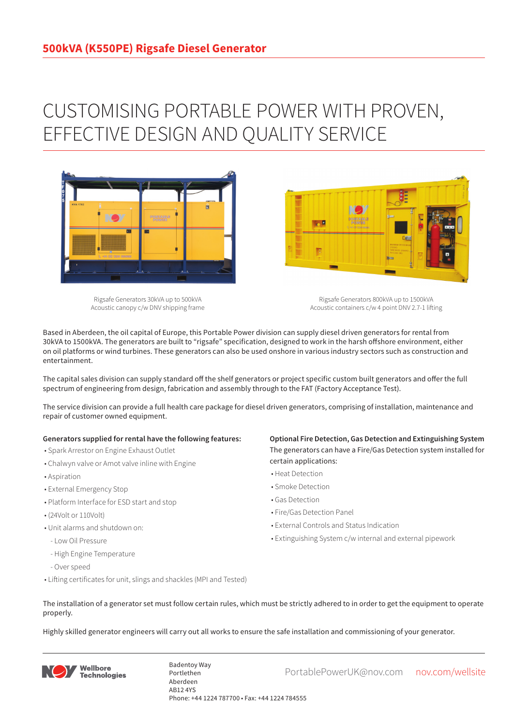## CUSTOMISING PORTABLE POWER WITH PROVEN, EFFECTIVE DESIGN AND QUALITY SERVICE



Rigsafe Generators 30kVA up to 500kVA Acoustic canopy c/w DNV shipping frame

Rigsafe Generators 800kVA up to 1500kVA Acoustic containers c/w 4 point DNV 2.7-1 lifting

Based in Aberdeen, the oil capital of Europe, this Portable Power division can supply diesel driven generators for rental from 30kVA to 1500kVA. The generators are built to "rigsafe" specification, designed to work in the harsh offshore environment, either on oil platforms or wind turbines. These generators can also be used onshore in various industry sectors such as construction and entertainment.

The capital sales division can supply standard off the shelf generators or project specific custom built generators and offer the full spectrum of engineering from design, fabrication and assembly through to the FAT (Factory Acceptance Test).

The service division can provide a full health care package for diesel driven generators, comprising of installation, maintenance and repair of customer owned equipment.

## **Generators supplied for rental have the following features:**

- Spark Arrestor on Engine Exhaust Outlet
- Chalwyn valve or Amot valve inline with Engine
- Aspiration
- External Emergency Stop
- Platform Interface for ESD start and stop
- (24Volt or 110Volt)
- Unit alarms and shutdown on:
- Low Oil Pressure
- High Engine Temperature
- Over speed
- Lifting certificates for unit, slings and shackles (MPI and Tested)

**Optional Fire Detection, Gas Detection and Extinguishing System** The generators can have a Fire/Gas Detection system installed for certain applications:

- Heat Detection
- Smoke Detection
- Gas Detection
- Fire/Gas Detection Panel

**Designation** 

- External Controls and Status Indication
- Extinguishing System c/w internal and external pipework
- The installation of a generator set must follow certain rules, which must be strictly adhered to in order to get the equipment to operate properly.

Highly skilled generator engineers will carry out all works to ensure the safe installation and commissioning of your generator.



Badentoy Way<br>PortablePowerUK@nov.com nov.com/wellsite Portlethen Aberdeen AB12 4YS Phone: +44 1224 787700 • Fax: +44 1224 784555